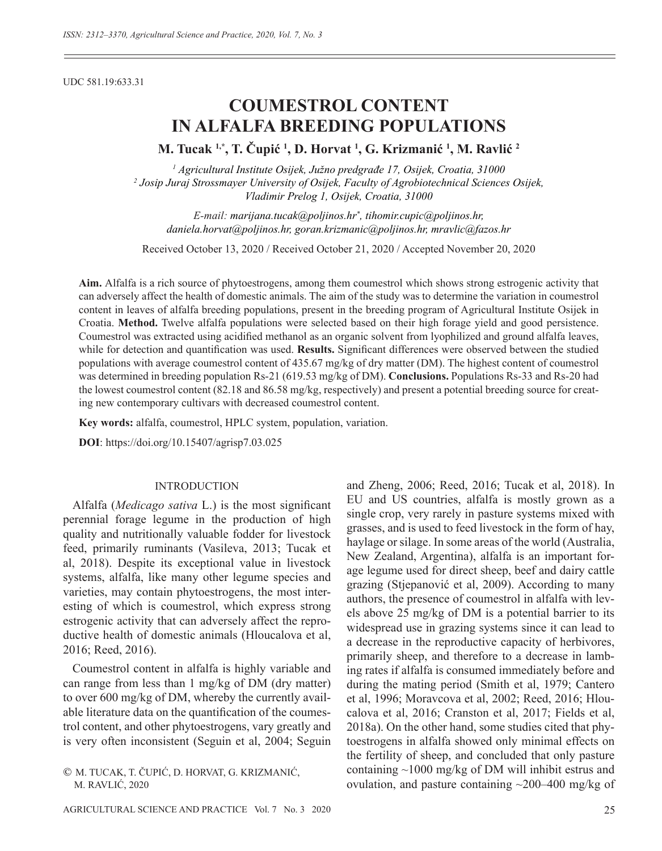UDC 581.19:633.31

# **COUMESTROL CONTENT IN ALFALFA BREEDING POPULATIONS**

**M. Tucak 1,\*, T. Čupić <sup>1</sup> , D. Horvat 1 , G. Krizmanić <sup>1</sup> , M. Ravlić <sup>2</sup>**

*1 Agricultural Institute Osijek, Južno predgrađe 17, Osijek, Croatia, 31000 2 Josip Juraj Strossmayer University of Osijek, Faculty of Agrobiotechnical Sciences Osijek, Vladimir Prelog 1, Osijek, Croatia, 31000*

*E-mail: marijana.tucak@poljinos.hr\* , tihomir.cupic@poljinos.hr, daniela.horvat@poljinos.hr, goran.krizmanic@poljinos.hr, mravlic@fazos.hr* 

Received October 13, 2020 / Received October 21, 2020 / Accepted November 20, 2020

**Aim.** Alfalfa is a rich source of phytoestrogens, among them coumestrol which shows strong estrogenic activity that can adversely affect the health of domestic animals. The aim of the study was to determine the variation in coumestrol content in leaves of alfalfa breeding populations, present in the breeding program of Agricultural Institute Osijek in Croatia. **Method.** Twelve alfalfa populations were selected based on their high forage yield and good persistence. Coumestrol was extracted using acidified methanol as an organic solvent from lyophilized and ground alfalfa leaves, while for detection and quantification was used. **Results.** Significant differences were observed between the studied populations with average coumestrol content of 435.67 mg/kg of dry matter (DM). The highest content of coumestrol was determined in breeding population Rs-21 (619.53 mg/kg of DM). **Conclusions.** Populations Rs-33 and Rs-20 had the lowest coumestrol content (82.18 and 86.58 mg/kg, respectively) and present a potential breeding source for creating new contemporary cultivars with decreased coumestrol content.

**Key words:** alfalfa, coumestrol, HPLC system, population, variation.

**DOI**: https://doi.org/10.15407/agrisp7.03.025

#### INTRODUCTION

Alfalfa (*Medicago sativa L.*) is the most significant perennial forage legume in the production of high quality and nutritionally valuable fodder for livestock feed, primarily ruminants (Vasileva, 2013; Tucak et al, 2018). Despite its exceptional value in livestock systems, alfalfa, like many other legume species and varieties, may contain phytoestrogens, the most interesting of which is coumestrol, which express strong estrogenic activity that can adversely affect the reproductive health of domestic animals (Hloucalova et al, 2016; Reed, 2016).

Coumestrol content in alfalfa is highly variable and can range from less than 1 mg/kg of DM (dry matter) to over 600 mg/kg of DM, whereby the currently available literature data on the quantification of the coumestrol content, and other phytoestrogens, vary greatly and is very often inconsistent (Seguin et al, 2004; Seguin

© M. TUCAK, T. ČUPIĆ, D. HORVAT, G. KRIZMANIĆ, M. RAVLIĆ, 2020

AGRICULTURAL SCIENCE AND PRACTICE Vol. 7 No. 3 2020 25

and Zheng, 2006; Reed, 2016; Tucak et al, 2018). In EU and US countries, alfalfa is mostly grown as a single crop, very rarely in pasture systems mixed with grasses, and is used to feed livestock in the form of hay, haylage or silage. In some areas of the world (Australia, New Zealand, Argentina), alfalfa is an important forage legume used for direct sheep, beef and dairy cattle grazing (Stjepanović et al, 2009). According to many authors, the presence of coumestrol in alfalfa with levels above 25 mg/kg of DM is a potential barrier to its widespread use in grazing systems since it can lead to a decrease in the reproductive capacity of herbivores, primarily sheep, and therefore to a decrease in lambing rates if alfalfa is consumed immediately before and during the mating period (Smith et al, 1979; Cantero et al, 1996; Moravcova et al, 2002; Reed, 2016; Hloucalova et al, 2016; Cranston et al, 2017; Fields et al, 2018a). On the other hand, some studies cited that phytoestrogens in alfalfa showed only minimal effects on the fertility of sheep, and concluded that only pasture containing ~1000 mg/kg of DM will inhibit estrus and ovulation, and pasture containing  $\sim$ 200–400 mg/kg of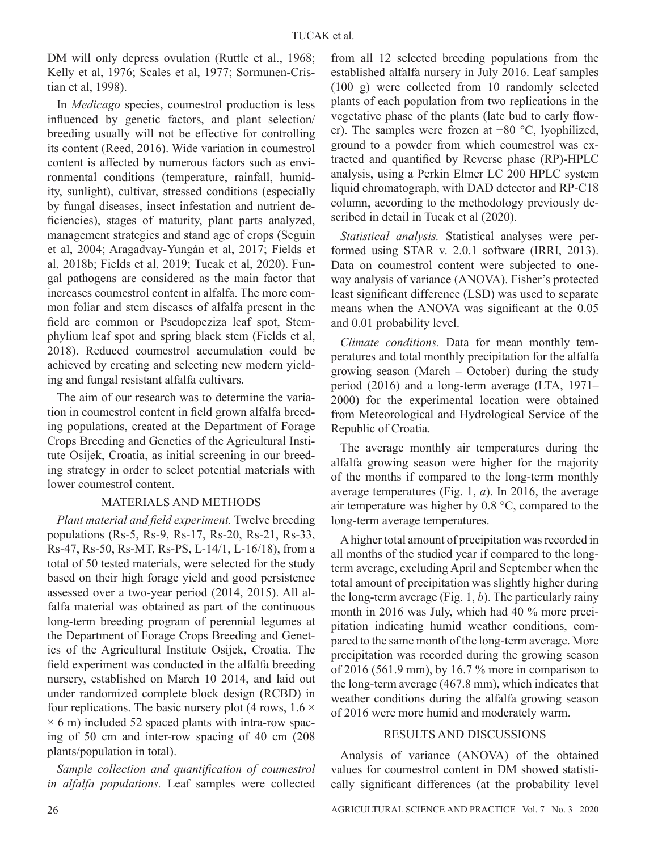DM will only depress ovulation (Ruttle et al., 1968; Kelly et al, 1976; Scales et al, 1977; Sormunen-Cristian et al, 1998).

In *Medicago* species, coumestrol production is less influenced by genetic factors, and plant selection/ breeding usually will not be effective for controlling its content (Reed, 2016). Wide variation in coumestrol content is affected by numerous factors such as environmental conditions (temperature, rainfall, humidity, sunlight), cultivar, stressed conditions (especially by fungal diseases, insect infestation and nutrient deficiencies), stages of maturity, plant parts analyzed, management strategies and stand age of crops (Seguin et al, 2004; Aragadvay-Yungán et al, 2017; Fields et al, 2018b; Fields et al, 2019; Tucak et al, 2020). Fungal pathogens are considered as the main factor that increases coumestrol content in alfalfa. The more common foliar and stem diseases of alfalfa present in the field are common or Pseudopeziza leaf spot, Stemphylium leaf spot and spring black stem (Fields et al, 2018). Reduced coumestrol accumulation could be achieved by creating and selecting new modern yielding and fungal resistant alfalfa cultivars.

The aim of our research was to determine the variation in coumestrol content in field grown alfalfa breeding populations, created at the Department of Forage Crops Breeding and Genetics of the Agricultural Institute Osijek, Croatia, as initial screening in our breeding strategy in order to select potential materials with lower coumestrol content.

## MATERIALS AND METHODS

*Plant material and field experiment.* Twelve breeding populations (Rs-5, Rs-9, Rs-17, Rs-20, Rs-21, Rs-33, Rs-47, Rs-50, Rs-MT, Rs-PS, L-14/1, L-16/18), from a total of 50 tested materials, were selected for the study based on their high forage yield and good persistence assessed over a two-year period (2014, 2015). All alfalfa material was obtained as part of the continuous long-term breeding program of perennial legumes at the Department of Forage Crops Breeding and Genetics of the Agricultural Institute Osijek, Croatia. The field experiment was conducted in the alfalfa breeding nursery, established on March 10 2014, and laid out under randomized complete block design (RCBD) in four replications. The basic nursery plot (4 rows,  $1.6 \times$  $\times$  6 m) included 52 spaced plants with intra-row spacing of 50 cm and inter-row spacing of 40 cm (208 plants/population in total).

*Sample collection and quantification of coumestrol in alfalfa populations.* Leaf samples were collected

from all 12 selected breeding populations from the established alfalfa nursery in July 2016. Leaf samples (100 g) were collected from 10 randomly selected plants of each population from two replications in the vegetative phase of the plants (late bud to early flower). The samples were frozen at −80 °C, lyophilized, ground to a powder from which coumestrol was extracted and quantified by Reverse phase (RP)-HPLC analysis, using a Perkin Elmer LC 200 HPLC system liquid chromatograph, with DAD detector and RP-C18 column, according to the methodology previously described in detail in Tucak et al (2020).

*Statistical analysis.* Statistical analyses were performed using STAR v. 2.0.1 software (IRRI, 2013). Data on coumestrol content were subjected to oneway analysis of variance (ANOVA). Fisher's protected least significant difference (LSD) was used to separate means when the ANOVA was significant at the 0.05 and 0.01 probability level.

*Climate conditions.* Data for mean monthly temperatures and total monthly precipitation for the alfalfa growing season (March – October) during the study period (2016) and a long-term average (LTA, 1971– 2000) for the experimental location were obtained from Meteorological and Hydrological Service of the Republic of Croatia.

The average monthly air temperatures during the alfalfa growing season were higher for the majority of the months if compared to the long-term monthly average temperatures (Fig. 1, *a*). In 2016, the average air temperature was higher by 0.8 °C, compared to the long-term average temperatures.

A higher total amount of precipitation was recorded in all months of the studied year if compared to the longterm average, excluding April and September when the total amount of precipitation was slightly higher during the long-term average (Fig. 1, *b*). The particularly rainy month in 2016 was July, which had 40 % more precipitation indicating humid weather conditions, compared to the same month of the long-term average. More precipitation was recorded during the growing season of 2016 (561.9 mm), by 16.7 % more in comparison to the long-term average (467.8 mm), which indicates that weather conditions during the alfalfa growing season of 2016 were more humid and moderately warm.

## RESULTS AND DISCUSSIONS

Analysis of variance (ANOVA) of the obtained values for coumestrol content in DM showed statistically significant differences (at the probability level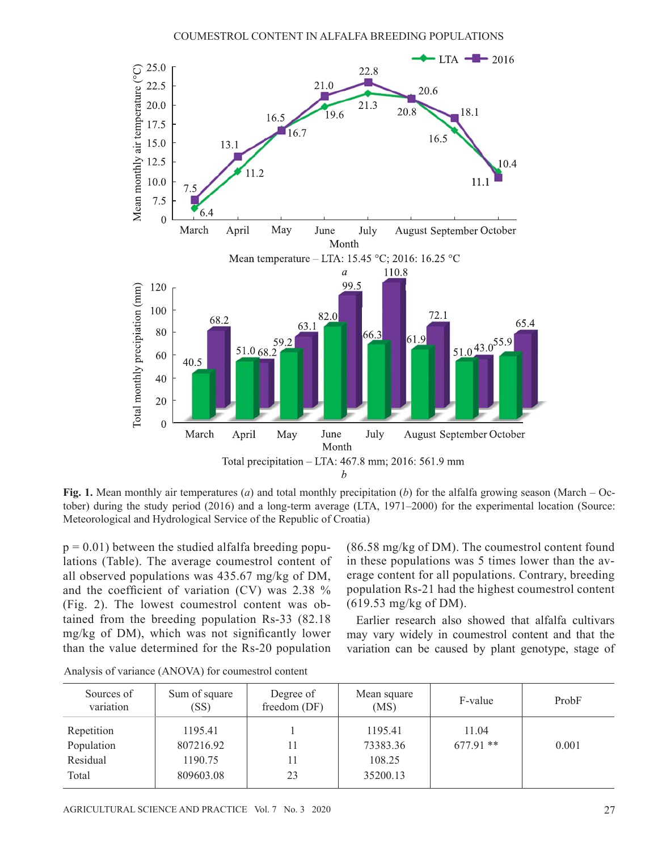

**Fig. 1.** Mean monthly air temperatures (*a*) and total monthly precipitation (*b*) for the alfalfa growing season (March – October) during the study period (2016) and a long-term average (LTA, 1971–2000) for the experimental location (Source: Meteorological and Hydrological Service of the Republic of Croatia)

 $p = 0.01$ ) between the studied alfalfa breeding populations (Table). The average coumestrol content of all observed populations was 435.67 mg/kg of DM, and the coefficient of variation (CV) was  $2.38\%$ (Fig. 2). The lowest coumestrol content was obtained from the breeding population Rs-33 (82.18 mg/kg of DM), which was not significantly lower than the value determined for the Rs-20 population

(86.58 mg/kg of DM). The coumestrol content found in these populations was 5 times lower than the average content for all populations. Contrary, breeding population Rs-21 had the highest coumestrol content (619.53 mg/kg of DM).

Earlier research also showed that alfalfa cultivars may vary widely in coumestrol content and that the variation can be caused by plant genotype, stage of

| Sources of<br>variation                       | Sum of square<br>(SS)                        | Degree of<br>freedom (DF) | Mean square<br>(MS)                       | F-value              | ProbF |
|-----------------------------------------------|----------------------------------------------|---------------------------|-------------------------------------------|----------------------|-------|
| Repetition<br>Population<br>Residual<br>Total | 1195.41<br>807216.92<br>1190.75<br>809603.08 | 23                        | 1195.41<br>73383.36<br>108.25<br>35200.13 | 11.04<br>$677.91$ ** | 0.001 |

Analysis of variance (ANOVA) for coumestrol content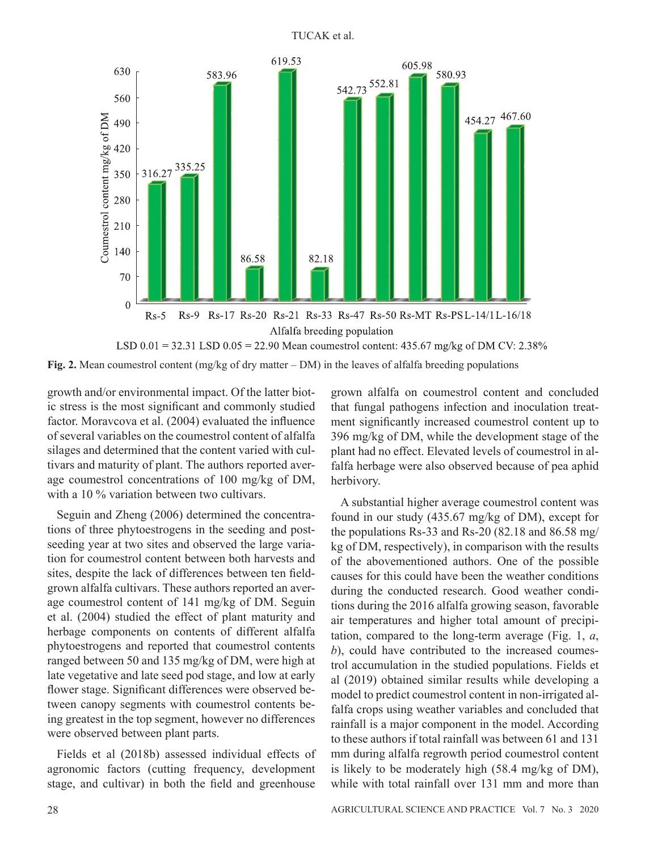TUCAK et al.



**Fig. 2.** Mean coumestrol content (mg/kg of dry matter – DM) in the leaves of alfalfa breeding populations

growth and/or environmental impact. Of the latter biotic stress is the most significant and commonly studied factor. Moravcova et al. (2004) evaluated the influence of several variables on the coumestrol content of alfalfa silages and determined that the content varied with cultivars and maturity of plant. The authors reported average coumestrol concentrations of 100 mg/kg of DM, with a 10 % variation between two cultivars.

Seguin and Zheng (2006) determined the concentrations of three phytoestrogens in the seeding and postseeding year at two sites and observed the large variation for coumestrol content between both harvests and sites, despite the lack of differences between ten fieldgrown alfalfa cultivars. These authors reported an average coumestrol content of 141 mg/kg of DM. Seguin et al. (2004) studied the effect of plant maturity and herbage components on contents of different alfalfa phytoestrogens and reported that coumestrol contents ranged between 50 and 135 mg/kg of DM, were high at late vegetative and late seed pod stage, and low at early flower stage. Significant differences were observed between canopy segments with coumestrol contents being greatest in the top segment, however no differences were observed between plant parts.

Fields et al (2018b) assessed individual effects of agronomic factors (cutting frequency, development stage, and cultivar) in both the field and greenhouse

grown alfalfa on coumestrol content and concluded that fungal pathogens infection and inoculation treatment significantly increased coumestrol content up to 396 mg/kg of DM, while the development stage of the plant had no effect. Elevated levels of coumestrol in alfalfa herbage were also observed because of pea aphid herbivory.

A substantial higher average coumestrol content was found in our study (435.67 mg/kg of DM), except for the populations Rs-33 and Rs-20 (82.18 and 86.58 mg/ kg of DM, respectively), in comparison with the results of the abovementioned authors. One of the possible causes for this could have been the weather conditions during the conducted research. Good weather conditions during the 2016 alfalfa growing season, favorable air temperatures and higher total amount of precipitation, compared to the long-term average (Fig. 1, *a*, *b*), could have contributed to the increased coumestrol accumulation in the studied populations. Fields et al (2019) obtained similar results while developing a model to predict coumestrol content in non-irrigated alfalfa crops using weather variables and concluded that rainfall is a major component in the model. According to these authors if total rainfall was between 61 and 131 mm during alfalfa regrowth period coumestrol content is likely to be moderately high (58.4 mg/kg of DM), while with total rainfall over 131 mm and more than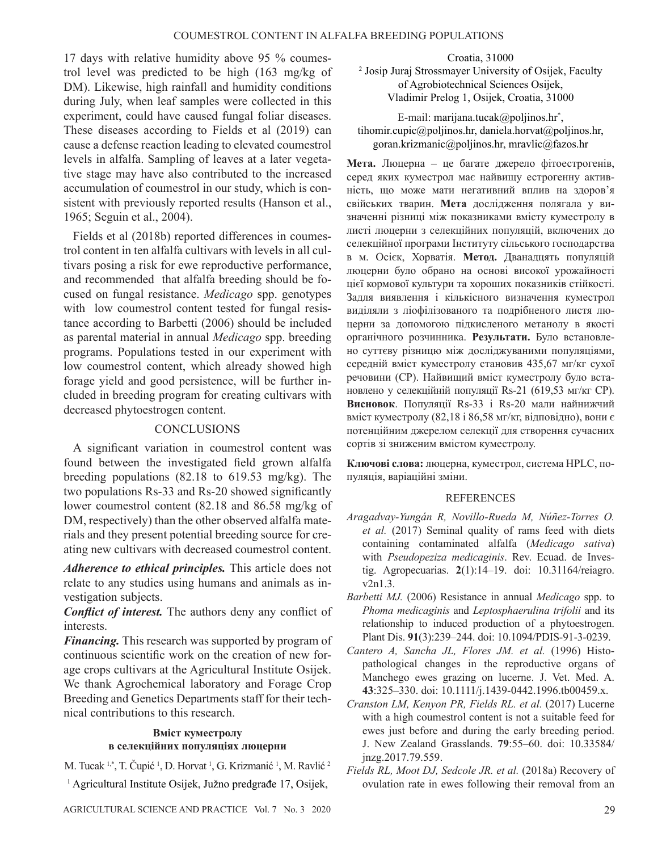17 days with relative humidity above 95 % coumestrol level was predicted to be high (163 mg/kg of DM). Likewise, high rainfall and humidity conditions during July, when leaf samples were collected in this experiment, could have caused fungal foliar diseases. These diseases according to Fields et al (2019) can cause a defense reaction leading to elevated coumestrol levels in alfalfa. Sampling of leaves at a later vegetative stage may have also contributed to the increased accumulation of coumestrol in our study, which is consistent with previously reported results (Hanson et al., 1965; Seguin et al., 2004).

Fields et al (2018b) reported differences in coumestrol content in ten alfalfa cultivars with levels in all cultivars posing a risk for ewe reproductive performance, and recommended that alfalfa breeding should be focused on fungal resistance. *Medicago* spp. genotypes with low coumestrol content tested for fungal resistance according to Barbetti (2006) should be included as parental material in annual *Medicago* spp. breeding programs. Populations tested in our experiment with low coumestrol content, which already showed high forage yield and good persistence, will be further included in breeding program for creating cultivars with decreased phytoestrogen content.

### **CONCLUSIONS**

A significant variation in coumestrol content was found between the investigated field grown alfalfa breeding populations (82.18 to 619.53 mg/kg). The two populations  $Rs-33$  and  $Rs-20$  showed significantly lower coumestrol content (82.18 and 86.58 mg/kg of DM, respectively) than the other observed alfalfa materials and they present potential breeding source for creating new cultivars with decreased coumestrol content.

*Adherence to ethical principles.* This article does not relate to any studies using humans and animals as investigation subjects.

**Conflict of interest.** The authors deny any conflict of interests.

*Financing.* This research was supported by program of continuous scientific work on the creation of new forage crops cultivars at the Agricultural Institute Osijek. We thank Agrochemical laboratory and Forage Crop Breeding and Genetics Departments staff for their technical contributions to this research.

## **Вміст куместролу в селекційних популяціях люцерни**

M. Tucak <sup>1,\*</sup>, T. Čupić <sup>1</sup>, D. Horvat <sup>1</sup>, G. Krizmanić <sup>1</sup>, M. Ravlić <sup>2</sup>

1 Agricultural Institute Osijek, Južno predgrađe 17, Osijek,

Croatia, 31000 2 Josip Juraj Strossmayer University of Osijek, Faculty of Agrobiotechnical Sciences Osijek, Vladimir Prelog 1, Osijek, Croatia, 31000

E-mail: marijana.tucak@poljinos.hr\* , tihomir.cupic@poljinos.hr, daniela.horvat@poljinos.hr, goran.krizmanic@poljinos.hr, mravlic@fazos.hr

**Мета.** Люцерна – це багате джерело фітоестрогенів, серед яких куместрол має найвищу естрогенну активність, що може мати негативний вплив на здоров'я свійських тварин. **Мета** дослідження полягала у визначенні різниці між показниками вмісту куместролу в листі люцерни з селекційних популяцій, включених до селекційної програми Інституту сільського господарства в м. Осієк, Хорватія. **Метод.** Дванадцять популяцій люцерни було обрано на основі високої урожайності цієї кормової культури та хороших показників стійкості. Задля виявлення і кількісного визначення куместрол виділяли з ліофілізованого та подрібненого листя люцерни за допомогою підкисленого метанолу в якості органічного розчинника. **Результати.** Було встановлено суттєву різницю між досліджуваними популяціями, середній вміст куместролу становив 435,67 мг/кг сухої речовини (СР). Найвищий вміст куместролу було встановлено у селекційній популяції Rs-21 (619,53 мг/кг СР). **Висновок**. Популяції Rs-33 і Rs-20 мали найнижчий вміст куместролу (82,18 і 86,58 мг/кг, відповідно), вони є потенційним джерелом селекції для створення сучасних сортів зі зниженим вмістом куместролу.

**Ключові слова:** люцерна, куместрол, система HPLC, популяція, варіаційні зміни.

### REFERENCES

- *Aragadvay-Yungán R, Novillo-Rueda M, Núñez-Torres O. et al.* (2017) Seminal quality of rams feed with diets containing contaminated alfalfa (*Medicago sativa*) with *Pseudopeziza medicaginis*. Rev. Ecuad. de Investig. Agropecuarias. **2**(1):14–19. doi: 10.31164/reiagro. v2n1.3.
- *Barbetti MJ.* (2006) Resistance in annual *Medicago* spp. to *Phoma medicaginis* and *Leptosphaerulina trifolii* and its relationship to induced production of a phytoestrogen. Plant Dis. **91**(3):239–244. doi: 10.1094/PDIS-91-3-0239.
- *Cantero A, Sancha JL, Flores JM. et al.* (1996) Histopathological changes in the reproductive organs of Manchego ewes grazing on lucerne. J. Vet. Med. A. **43**:325–330. doi: 10.1111/j.1439-0442.1996.tb00459.x.
- *Cranston LM, Kenyon PR, Fields RL. et al.* (2017) Lucerne with a high coumestrol content is not a suitable feed for ewes just before and during the early breeding period. J. New Zealand Grasslands. **79**:55–60. doi: 10.33584/ jnzg.2017.79.559.
- *Fields RL, Moot DJ, Sedcole JR. et al.* (2018a) Recovery of ovulation rate in ewes following their removal from an